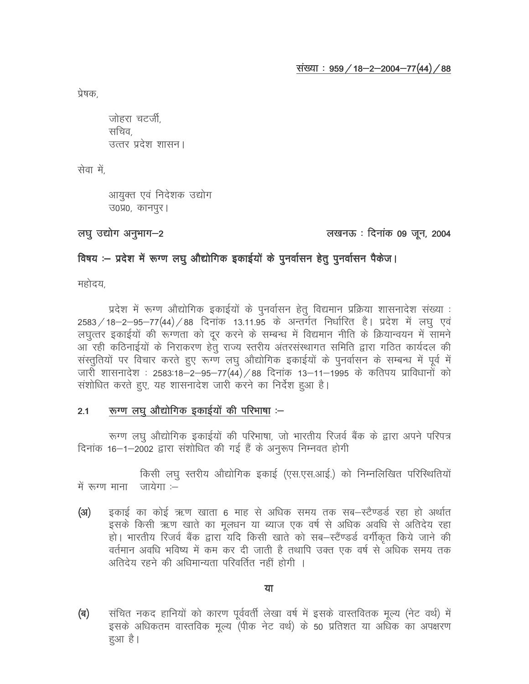प्रेषक.

जोहरा चटर्जी. सचिव. उत्तर प्रदेश शासन।

सेवा में,

आयुक्त एवं निदेशक उद्योग उ०प्र०, कानपुर।

# लघू उद्योग अनुभाग-2

# लखनऊ : दिनांक 09 जून, 2004

# विषय :– प्रदेश में रूग्ण लघु औद्योगिक इकाईयों के पुनर्वासन हेतु पुनर्वासन पैकेज।

महोदय

प्रदेश में रूग्ण औद्योगिक इकाईयों के पुनर्वासन हेतु विद्यमान प्रक्रिया शासनादेश संख्या : 2583 / 18-2-95-77(44) / 88 दिनांक 13.11.95 के अन्तर्गत निर्धारित है। प्रदेश में लघु एवं लघुत्तर इकाईयों की रूग्णता को दूर करने के सम्बन्ध में विद्यमान नीति के क्रियान्वयन में सामने आ रही कठिनाईयों के निराकरण हेतु राज्य स्तरीय अंतरसंस्थागत समिति द्वारा गठित कार्यदल की संस्तुतियों पर विचार करते हुए रूग्ण लघु औद्योगिक इकाईयों के पुनर्वासन के सम्बन्ध में पूर्व में जारी शासनादेश : 2583:18–2–95–77(44) / 88 दिनांक 13–11–1995 के कतिपय प्राविधानों को संशोधित करते हुए, यह शासनादेश जारी करने का निर्देश हुआ है।

#### रूग्ण लघु औद्योगिक इकाईयों की परिभाषा :-- $2.1$

रूग्ण लघु औद्योगिक इकाईयों की परिभाषा, जो भारतीय रिजर्व बैंक के द्वारा अपने परिपत्र दिनांक 16–1–2002 द्वारा संशोधित की गई हैं के अनुरूप निम्नवत होगी

किसी लघु स्तरीय औद्योगिक इकाई (एस.एस.आई.) को निम्नलिखित परिस्थितियों में रुग्ण माना जायेगा $=$ 

इकाई का कोई ऋण खाता 6 माह से अधिक समय तक सब-स्टैण्डर्ड रहा हो अर्थात (अ) इसके किसी ऋण खाते का मुलधन या ब्याज एक वर्ष से अधिक अवधि से अतिदेय रहा हो। भारतीय रिजर्व बैंक द्वारा यदि किसी खाते को सब-स्टैंण्डर्ड वर्गीकृत किये जाने की वर्तमान अवधि भविष्य में कम कर दी जाती है तथापि उक्त एक वर्ष से अधिक समय तक अतिदेय रहने की अधिमान्यता परिवर्तित नहीं होगी ।

### या

संचित नकद हानियों को कारण पूर्ववर्ती लेखा वर्ष में इसके वास्तवितक मृत्य (नेट वर्थ) में (ৰ) इसके अधिकतम वास्तविक मूल्य (पीक नेट वर्थ) के 50 प्रतिशत या अधिक का अपक्षरण हुआ है।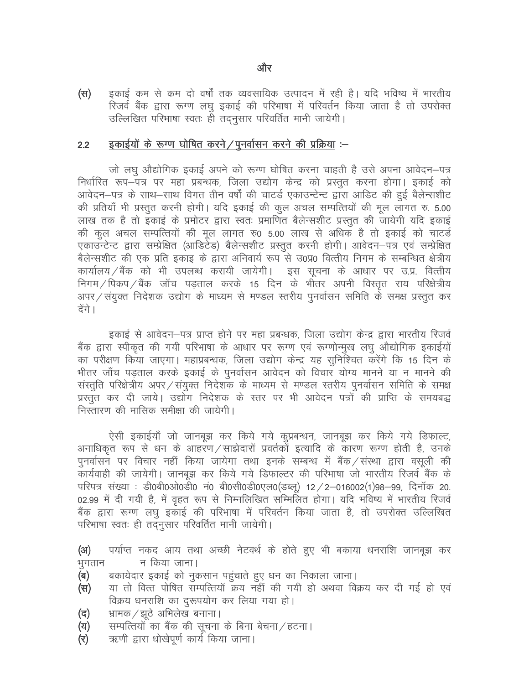इकाई कम से कम दो वर्षों तक व्यवसायिक उत्पादन में रही है। यदि भविष्य में भारतीय (स) रिजर्व बैंक द्वारा रूग्ण लघु इकाई की परिभाषा में परिवर्तन किया जाता है तो उपरोक्त उल्लिखित परिभाषा स्वतः ही तदनुसार परिवर्तित मानी जायेगी।

#### इकाईयों के रूग्ण घोषित करने / पुनर्वासन करने की प्रक्रिया :- $2.2$

जो लघु औद्योगिक इकाई अपने को रूग्ण घोषित करना चाहती है उसे अपना आवेदन–पत्र निर्धारित रूप–पत्र पर महा प्रबन्धक, जिला उद्योग केन्द्र को प्रस्तुत करना होगा। इकाई को आवेदन—पत्र के साथ—साथ विगत तीन वर्षों की चाटर्ड एकाउन्टेन्ट द्वारा आडिट की हुई बैलेन्सशीट की प्रतियाँ भी प्रस्तुत करनी होगी। यदि इकाई की कुल अचल सम्पत्तियों की मूल लागत रु. 5.00 लाख तक है तो इकाई के प्रमोटर द्वारा स्वतः प्रमाणित बैलेन्सशीट प्रस्तुत की जायेगी यदि इकाई की कुल अचल सम्पत्तियों की मुल लागत रु0 5.00 लाख से अधिक है तो इकाई को चाटर्ड एकाउन्टेन्ट द्वारा सम्प्रेक्षित (आडिटेड) बैलेन्सशीट प्रस्तुत करनी होगी। आवेदन–पत्र एवं सम्प्रेक्षित बैलेन्सशीट की एक प्रति इकाइ के द्वारा अनिवार्य रूप से उ0प्र0 वित्तीय निगम के सम्बन्धित क्षेत्रीय कार्यालय ⁄ बैंक को भी उपलब्ध करायी जायेगी। इस सूचना के आधार पर उ.प्र. वित्तीय निगम / पिकप / बैंक) जॉच पडताल करके 15 दिन के भीतर अपनी विस्तृत राय परिक्षेत्रीय अपर ⁄ संयुक्त निदेशक उद्योग के माध्यम से मण्डल स्तरीय पुनर्वासन समिति के समक्ष प्रस्तुत कर देंगे ।

इकाई से आवेदन–पत्र प्राप्त होने पर महा प्रबन्धक, जिला उद्योग केन्द्र द्वारा भारतीय रिजर्व बैंक द्वारा स्पीकृत की गयी परिभाषा के आधार पर रूग्ण एवं रूग्णोन्मूख लघू औद्योगिक इकाईयों का परीक्षण किया जाएगा। महाप्रबन्धक, जिला उद्योग केन्द्र यह सुनिश्चित करेंगे कि 15 दिन के भीतर जाँच पडताल करके इकाई के पुनर्वासन आवेदन को विचार योग्य मानने या न मानने की संस्तुति परिक्षेत्रीय अपर/संयुक्त निदेशक के माध्यम से मण्डल स्तरीय पुनर्वासन समिति के समक्ष प्रस्तुत कर दी जाये। उद्योग निदेशक के स्तर पर भी आवेदन पत्रों की प्राप्ति के समयबद्ध निस्तारण की मासिक समीक्षा की जायेगी।

ऐसी इकाईयाँ जो जानबूझ कर किये गये कुप्रबन्धन, जानबूझ कर किये गये डिफाल्ट, अनाधिकृत रूप से धन के आहरण/साझेदारों प्रवर्तकों इत्यादि के कारण रूग्ण होती है, उनके पुनर्वासन पर विचार नहीं किया जायेगा तथा इनके सम्बन्ध में बैंक ⁄ संस्था द्वारा वसूली की कार्यवाही की जायेगी। जानबूझ कर किये गये डिफाल्टर की परिभाषा जो भारतीय रिजर्व बैंक के परिपत्र संख्या : डी0बी0ओ0डी0 नं0 बी0सी0डी0एल0(डब्लू) 12 / 2–016002(1)98–99, दिनॉक 20. 02.99 में दी गयी है, में वृहत रूप से निम्नलिखित सम्मिलित होगा। यदि भविष्य में भारतीय रिजर्व बैंक द्वारा रूग्ण लघु इकाई की परिभाषा में परिवर्तन किया जाता है, तो उपरोक्त उल्लिखित परिभाषा स्वतः ही तदनुसार परिवर्तित मानी जायेगी।

पर्याप्त नकद आय तथा अच्छी नेटवर्थ के होते हुए भी बकाया धनराशि जानबूझ कर  $(3)$ न किया जाना। भूगतान

- बकायेदार इकाई को नुकसान पहुंचाते हुए धन का निकाला जाना। (ब)
- या तो वित्त पोषित सम्पत्तियाँ क्रय नहीं की गयी हो अथवा विक्रय कर दी गई हो एवं (円) विक्रय धनराशि का दुरूपयोग कर लिया गया हो।
- भ्रामक ⁄ झठे अभिलेख बनाना। (द)
- सम्पत्तियों का बैंक की सूचना के बिना बेचना / हटना। (य)
- ऋणी द्वारा धोखेपूर्ण कार्य किया जाना। (ব)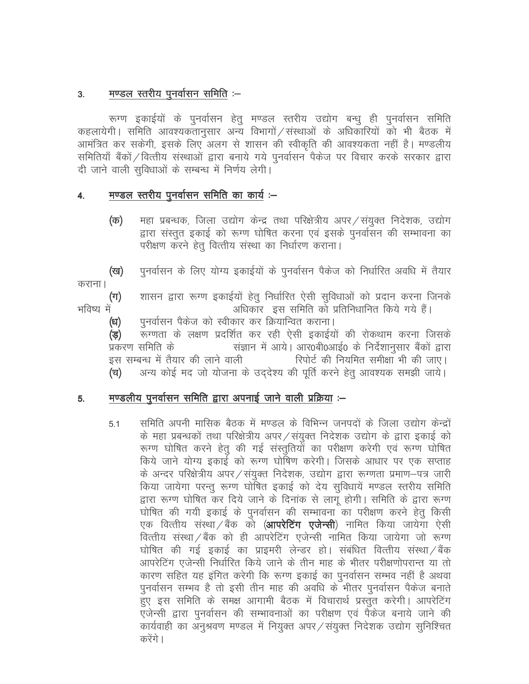#### मण्डल स्तरीय पुनर्वासन समिति :–  $3<sub>1</sub>$

रूग्ण इकाईयों के पुनर्वासन हेतू मण्डल स्तरीय उद्योग बन्धू ही पुनर्वासन समिति कहलायेगी | समिति आवश्यकतानुसार अन्य विभागों / संस्थाओं के अधिकारियों को भी बैठक में आमंत्रित कर सकेगी, इसके लिए अलग से शासन की स्वीकृति की आवश्यकता नहीं है। मण्डलीय समितियाँ बैंकों / वित्तीय संस्थाओं द्वारा बनाये गये पुनर्वासन पैकेज पर विचार करके सरकार द्वारा दी जाने वाली सुविधाओं के सम्बन्ध में निर्णय लेगी।

#### मण्डल स्तरीय पुनर्वासन समिति का कार्य :– 4.

महा प्रबन्धक, जिला उद्योग केन्द्र तथा परिक्षेत्रीय अपर / संयुक्त निदेशक, उद्योग (क) द्वारा संस्तुत इकाई को रूग्ण घोषित करना एवं इसके पुनर्वासन की सम्भावना का परीक्षण करने हेतू वित्तीय संस्था का निर्धारण कराना।

पुनर्वासन के लिए योग्य इकाईयों के पुनर्वासन पैकेज को निर्धारित अवधि में तैयार (ख)

कराना।

शासन द्वारा रूग्ण इकाईयों हेतू निर्धारित ऐसी सुविधाओं को प्रदान करना जिनके  $(\pi)$ भविष्य में अधिकार इस समिति को प्रतिनिधानित किये गये हैं।

पुनर्वासन पैकेज को स्वीकार कर क्रियान्वित कराना। (ध)

रूग्णता के लक्षण प्रदर्शित कर रही ऐसी इकाईयों की रोकथाम करना जिसके (ভ) प्रकरण समिति के संज्ञान में आये। आर0बी0आई0 के निर्देशानुसार बैंकों द्वारा रिपोर्ट की नियमित समीक्षा भी की जाए। इस सम्बन्ध में तैयार की लाने वाली अन्य कोई मद जो योजना के उददेश्य की पूर्ति करने हेतु आवश्यक समझी जाये। (च)

#### मण्डलीय पुनर्वासन समिति द्वारा अपनाई जाने वाली प्रक्रिया :– 5.

समिति अपनी मासिक बैठक में मण्डल के विभिन्न जनपदों के जिला उद्योग केन्द्रों  $5.1$ के महा प्रबन्धकों तथा परिक्षेत्रीय अपर / संयुक्त निदेशक उद्योग के द्वारा इकाई को रूग्ण घोषित करने हेतु की गई संस्तुतियों का परीक्षण करेगी एवं रूग्ण घोषित किये जाने योग्य इकाई को रूग्ण घोषिण करेगी। जिसके आधार पर एक सप्ताह के अन्दर परिक्षेत्रीय अपर / संयुक्त निदेशक, उद्योग द्वारा रूग्णता प्रमाण-पत्र जारी किया जायेगा परन्तु रूग्ण घोषित इकाई को देय सुविधायें मण्डल स्तरीय समिति द्वारा रूग्ण घोषित कर दिये जाने के दिनांक से लागू होगी। समिति के द्वारा रूग्ण घोषित की गयी इकाई के पुनर्वासन की सम्भावना का परीक्षण करने हेतु किसी एक वित्तीय संस्था /बैंक को (**आपरेटिंग एजेन्सी**) नामित किया जायेगा ऐसी वित्तीय संस्था / बैंक को ही आपरेटिंग एजेन्सी नामित किया जायेगा जो रूग्ण घोषित की गई इकाई का प्राइमरी लेन्डर हो। संबंधित वित्तीय संस्था /बैंक आपरेटिंग एजेन्सी निर्धारित किये जाने के तीन माह के भीतर परीक्षणोपरान्त या तो कारण सहित यह इंगित करेगी कि रूग्ण इकाई का पुनर्वासन सम्भव नहीं है अथवा पुनर्वासन सम्भव है तो इसी तीन माह की अवधि के भीतर पुनर्वासन पैकेज बनाते हुए इस समिति के समक्ष आगामी बैठक में विचारार्थ प्रस्तुत करेगी। आपरेटिंग एजेन्सी द्वारा पुनर्वासन की सम्भावनाओं का परीक्षण एवं पैकेज बनाये जाने की कार्यवाही का अनुश्रवण मण्डल में नियुक्त अपर / संयुक्त निदेशक उद्योग सुनिश्चित करेंगे ।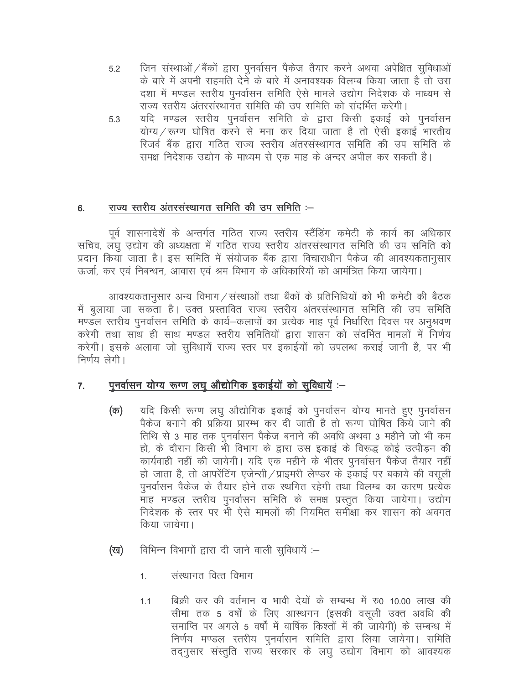- जिन संस्थाओं / बैंकों द्वारा पुनर्वासन पैकेज तैयार करने अथवा अपेक्षित सुविधाओं  $5.2$ के बारे में अपनी सहमति देने के बारे में अनावश्यक विलम्ब किया जाता है तो उस दशा में मण्डल स्तरीय पुनर्वासन समिति ऐसे मामले उद्योग निदेशक के माध्यम से राज्य स्तरीय अंतरसंस्थागत समिति की उप समिति को संदर्भित करेगी।
- यदि मण्डल स्तरीय पुनर्वासन समिति के द्वारा किसी इकाई को पुनर्वासन 5.3 योग्य / रूग्ण घोषित करने से मना कर दिया जाता है तो ऐसी इकाई भारतीय रिजर्व बैंक द्रारा गठित राज्य स्तरीय अंतरसंस्थागत समिति की उप समिति के समक्ष निदेशक उद्योग के माध्यम से एक माह के अन्दर अपील कर सकती है।

#### राज्य स्तरीय अंतरसंस्थागत समिति की उप समिति :-6.

पूर्व शासनादेशें के अन्तर्गत गठित राज्य स्तरीय स्टैंडिंग कमेटी के कार्य का अधिकार सचिव, लघु उद्योग की अध्यक्षता में गठित राज्य स्तरीय अंतरसंस्थागत समिति की उप समिति को प्रदान किया जाता है। इस समिति में संयोजक बैंक द्वारा विचाराधीन पैकेज की आवश्यकतानुसार ऊर्जा, कर एवं निबन्धन, आवास एवं श्रम विभाग के अधिकारियों को आमंत्रित किया जायेगा।

आवश्यकतानसार अन्य विभाग / संस्थाओं तथा बैंकों के प्रतिनिधियों को भी कमेटी की बैठक में बुलाया जा सकता है। उक्त प्रस्तावित राज्य स्तरीय अंतरसंस्थागत समिति की उप समिति मण्डल स्तरीय पुनर्वासन समिति के कार्य—कलापों का प्रत्येक माह पूर्व निर्धारित दिवस पर अनुश्रवण करेगी तथा साथ ही साथ मण्डल स्तरीय समितियों द्वारा शासन को संदर्भित मामलों में निर्णय करेगी। इसके अलावा जो सुविधायें राज्य स्तर पर इकाईयों को उपलब्ध कराई जानी है, पर भी निर्णय लेगी।

#### पूनर्वासन योग्य रूग्ण लघु औद्योगिक इकाईयों को सुविधायें :- $\overline{7}$ .

- यदि किसी रूग्ण लघु औद्योगिक इकाई को पुनर्वासन योग्य मानते हुए पुनर्वासन (क) पैकेज बनाने की प्रक्रिया प्रारम्भ कर दी जाती है तो रूग्ण घोषित किये जाने की तिथि से 3 माह तक पुनर्वासन पैकेज बनाने की अवधि अथवा 3 महीने जो भी कम हो, के दौरान किसी भी विभाग के द्वारा उस इकाई के विरूद्ध कोई उत्पीडन की कार्यवाही नहीं की जायेगी। यदि एक महीने के भीतर पुनर्वासन पैकेज तैयार नहीं हो जाता है, तो आपरेंटिंग एजेन्सी/प्राइमरी लेण्डर के इकाई पर बकाये की वसूली पुनर्वासन पैकेज के तैयार होने तक स्थगित रहेगी तथा विलम्ब का कारण प्रत्येक माह मण्डल स्तरीय पुनर्वासन समिति के समक्ष प्रस्तुत किया जायेगा। उद्योग निदेशक के स्तर पर भी ऐसे मामलों की नियमित समीक्षा कर शासन को अवगत किया जायेगा।
- विभिन्न विभागों द्वारा दी जाने वाली सुविधायें :-(ख)
	- संस्थागत वित्त विभाग  $1<sup>1</sup>$
	- बिक्री कर की वर्तमान व भावी देयों के सम्बन्ध में रु0 10.00 लाख की  $1.1$ सीमा तक 5 वर्षों के लिए आस्थगन (इसकी वसूली उक्त अवधि की समाप्ति पर अगले 5 वर्षों में वार्षिक किश्तों में की जायेगी) के सम्बन्ध में निर्णय मण्डल स्तरीय पुनर्वासन समिति द्वारा लिया जायेगा। समिति तदनुसार संस्तुति राज्य सरकार के लघु उद्योग विभाग को आवश्यक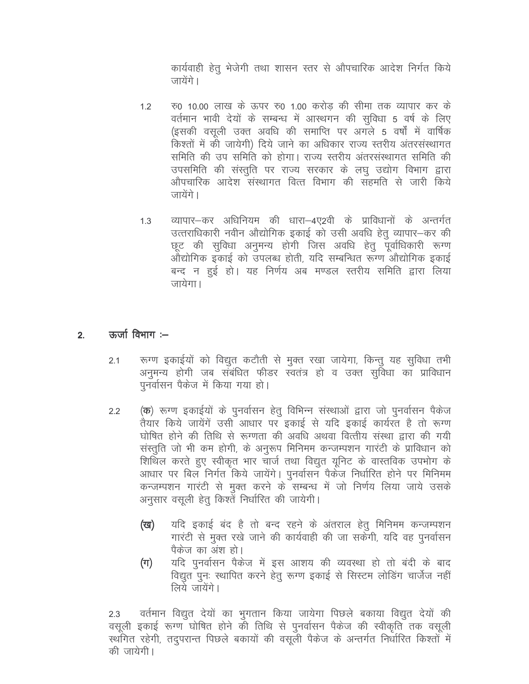कार्यवाही हेतू भेजेगी तथा शासन स्तर से औपचारिक आदेश निर्गत किये जायेंगे ।

- रू0 10.00 लाख के ऊपर रू0 1.00 करोड की सीमा तक व्यापार कर के  $1.2$ वर्तमान भावी देयों के सम्बन्ध में आस्थगन की सुविधा 5 वर्ष के लिए (इसकी वसली उक्त अवधि की समाप्ति पर अगले 5 वर्षों में वार्षिक किश्तों में की जायेगी) दिये जाने का अधिकार राज्य स्तरीय अंतरसंस्थागत समिति की उप समिति को होगा। राज्य स्तरीय अंतरसंस्थागत समिति की उपसमिति की संस्तुति पर राज्य सरकार के लघु उद्योग विभाग द्वारा औपचारिक आदेश संस्थागत वित्त विभाग की सहमति से जारी किये जायेंगे ।
- व्यापार–कर अधिनियम की धारा–4ए2वी के प्राविधानों के अन्तर्गत  $1.3$ उत्तराधिकारी नवीन औद्योगिक इकाई को उसी अवधि हेतु व्यापार–कर की छूट की सुविधा अनुमन्य होगी जिस अवधि हेतू पूर्वाधिकारी रूग्ण औद्योगिक इकाई को उपलब्ध होती, यदि सम्बन्धित रूग्ण औद्योगिक इकाई बन्द न हुई हो। यह निर्णय अब मण्डल स्तरीय समिति द्वारा लिया जायेगा।

#### ऊर्जा विभाग $:=$  $2.$

- रूग्ण इकाईयों को विद्युत कटौती से मुक्त रखा जायेगा, किन्तु यह सुविधा तभी  $2.1$ अनुमन्य होगी जब संबंधित फीडर स्वतंत्र हो व उक्त सुविधा का प्राविधान पनर्वासन पैकेज में किया गया हो।
- (क) रूग्ण इकाईयों के पुनर्वासन हेतु विभिन्न संस्थाओं द्वारा जो पुनर्वासन पैकेज  $2.2$ तैयार किये जायेंगें उसी आधार पर इकाई से यदि इकाई कार्यरत है तो रूग्ण घोषित होने की तिथि से रूग्णता की अवधि अथवा वित्तीय संस्था द्वारा की गयी संस्तुति जो भी कम होगी, के अनुरूप मिनिमम कन्जम्पशन गारंटी के प्राविधान को शिथिल करते हुए स्वीकृत भार चार्ज तथा विद्युत यूनिट के वास्तविक उपभोग के आधार पर बिल निर्गत किये जायेंगे। पुनर्वासन पैकेज निर्धारित होने पर मिनिमम कन्जम्पशन गारंटी से मुक्त करने के सम्बन्ध में जो निर्णय लिया जाये उसके अनुसार वसूली हेतु किश्तें निर्धारित की जायेगी।
	- यदि इकाई बंद है तो बन्द रहने के अंतराल हेतू मिनिमम कन्जम्पशन (ख) गारंटी से मुक्त रखे जाने की कार्यवाही की जा सकेंगी, यदि वह पुनर्वासन पैकेज का अंश हो।
	- यदि पुनर्वासन पैकेज में इस आशय की व्यवस्था हो तो बंदी के बाद  $(\pi)$ विद्युत पुनः स्थापित करने हेतू रूग्ण इकाई से सिस्टम लोडिंग चार्जेज नहीं लिये जायेंगे।

वर्तमान विद्युत देयों का भुगतान किया जायेगा पिछले बकाया विद्युत देयों की  $2.3$ वसूली इकाई रूग्ण घोषित होने की तिथि से पुनर्वासन पैकेज की स्वीकृति तक वसूली स्थगित रहेगी, तदुपरान्त पिछले बकायों की वसुली पैकेज के अन्तर्गत निर्धारित किश्तों में की जायेगी।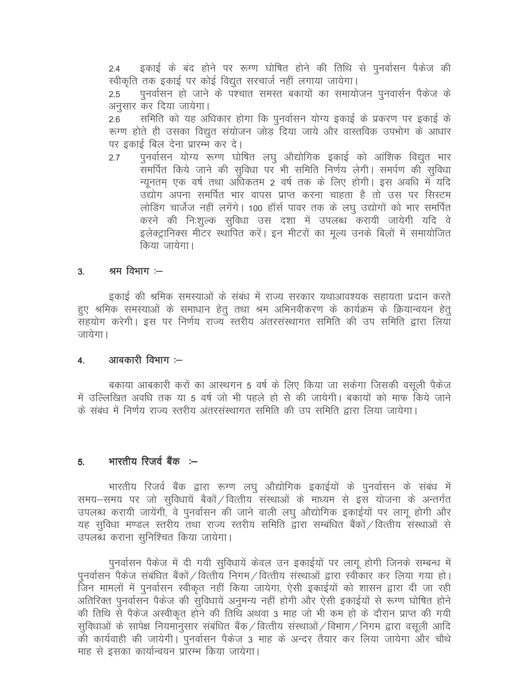इकाई के बंद होने पर रूग्ण घोषित होने की तिथि से पुनर्वासन पैकेज की  $2.4$ स्वीकृति तक इकाई पर कोई विद्युत सरचार्ज नहीं लगाया जायेगा।

पुनर्वासन हो जाने के पश्चात समस्त बकायों का समायोजन पुनवार्सन पैकेज के  $2.5$ अनुसार कर दिया जायेगा।

समिति को यह अधिकार होगा कि पुनर्वासन योग्य इकाई के प्रकरण पर इकाई के  $2.6$ रूग्ण होते ही उसका विद्युत संयोजन जोड दिया जाये और वास्तविक उपभोग के आधार पर इकाई बिल देना प्रारम्भ कर दे।

पुनर्वासन योग्य रूग्ण घोषित लघु औद्योगिक इकाई को आंशिक विद्युत भार  $2.7$ समर्पित किये जाने की सुविधा पर भी समिति निर्णय लेगी। समर्पण की सुविधा न्यूनतम एक वर्ष तथा अधिकतम 2 वर्ष तक के लिए होगी। इस अवधि में यदि उद्योग अपना समर्पित भार वापस प्राप्त करना चाहता है तो उस पर सिस्टम लोडिंग चार्जेज नहीं लगेंगे। 100 हॉर्स पावर तक के लघु उद्योगों को भार समर्पित करने की निःशल्क सविधा उस दशा में उपलब्ध करायी जायेगी यदि वे इलेक्ट्रानिक्स मीटर स्थापित करें। इन मीटरों का मूल्य उनके बिलों में समायोजित किया जायेगा।

#### श्रम विभाग $:=$  $3<sub>1</sub>$

इकाई की श्रमिक समस्याओं के संबंध में राज्य सरकार यथाआवश्यक सहायता प्रदान करते हुए श्रमिक समस्याओं के समाधान हेतू तथा श्रम अभिनवीकरण के कार्यक्रम के क्रियान्वयन हेतू सहयोग करेगी। इस पर निर्णय राज्य स्तरीय अंतरसंस्थागत समिति की उप समिति द्वारा लिया जायेगा ।

#### आबकारी विभाग :-- $\overline{4}$ .

बकाया आबकारी करों का आस्थगन 5 वर्ष के लिए किया जा सकेगा जिसकी वसूली पैकेज में उल्लिखित अवधि तक या 5 वर्ष जो भी पहले हो से की जायेगी। बकायों को माफ किये जाने के संबंध में निर्णय राज्य स्तरीय अंतरसंस्थागत समिति की उप समिति द्वारा लिया जायेगा।

#### भारतीय रिजर्व बैंक :--5.

भारतीय रिजर्व बैंक द्वारा रूग्ण लघु औद्योगिक इकाईयों के पुनर्वासन के संबंध में समय–समय पर जो सुविधायें बैकों /वित्तीय संस्थाओं के माध्यम से इस योजना के अन्तर्गत उपलब्ध करायी जायेंगी, वे पुनर्वासन की जाने वाली लघु औद्योगिक इकाईयों पर लागू होगी और यह सुविधा मण्डल स्तरीय तथा राज्य स्तरीय समिति द्वारा सम्बंधित बैंकों / वित्तीय संस्थाओं से उपलब्ध कराना सुनिश्चित किया जायेगा।

पुनर्वासन पैकेज में दी गयी सुविधायें केवल उन इकाईयों पर लागू होगी जिनके सम्बन्ध में पनर्वासन पैकेज संबंधित बैंकों / वित्तीय निगम / वित्तीय संस्थाओं द्वारा स्वीकार कर लिया गया हो। जिन मामलों में पुनर्वासन स्वीकृत नहीं किया जायेगा, ऐसी इकाईयों को शासन द्वारा दी जा रही अतिरिक्त पुनर्वासन पैकेज की सुविधायें अनुमन्य नहीं होगी और ऐसी इकाईयों से रूग्ण घोषित होने की तिथि से पैकेज अस्वीकत होने की तिथि अथवा 3 माह जो भी कम हो के दौरान प्राप्त की गयी सुविधाओं के सापेक्ष नियमानुसार संबंधित बैंक / वित्तीय संस्थाओं / विभाग / निगम द्वारा वसूली आदि की कार्यवाही की जायेगी। पुनर्वासन पैकेज 3 माह के अन्दर तैयार कर लिया जायेगा और चौथे माह से इसका कार्यान्वयन प्रारम्भ किया जायेगा।